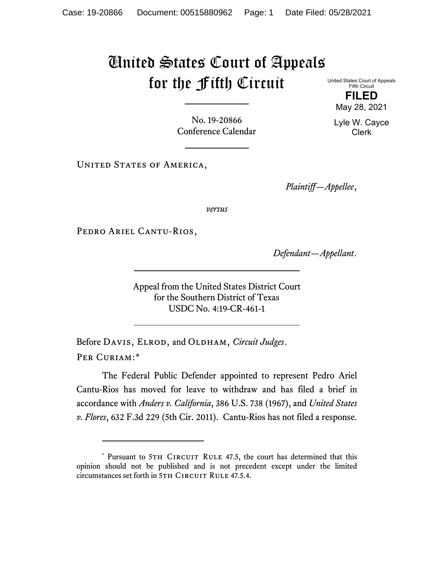## United States Court of Appeals for the Fifth Circuit

Fifth Circuit **FILED**

United States Court of Appeals

No. 19-20866 Conference Calendar

UNITED STATES OF AMERICA,

*Plaintiff—Appellee*,

*versus*

PEDRO ARIEL CANTU-RIOS,

*Defendant—Appellant*.

Appeal from the United States District Court for the Southern District of Texas USDC No. 4:19-CR-461-1

Before DAVIS, ELROD, and OLDHAM, *Circuit Judges*. Per Curiam:[\\*](#page-0-0)

The Federal Public Defender appointed to represent Pedro Ariel Cantu-Rios has moved for leave to withdraw and has filed a brief in accordance with *Anders v. California*, 386 U.S. 738 (1967), and *United States v. Flores*, 632 F.3d 229 (5th Cir. 2011). Cantu-Rios has not filed a response.

May 28, 2021 Lyle W. Cayce

Clerk

<span id="page-0-0"></span><sup>\*</sup> Pursuant to 5TH CIRCUIT RULE 47.5, the court has determined that this opinion should not be published and is not precedent except under the limited circumstances set forth in 5TH CIRCUIT RULE 47.5.4.